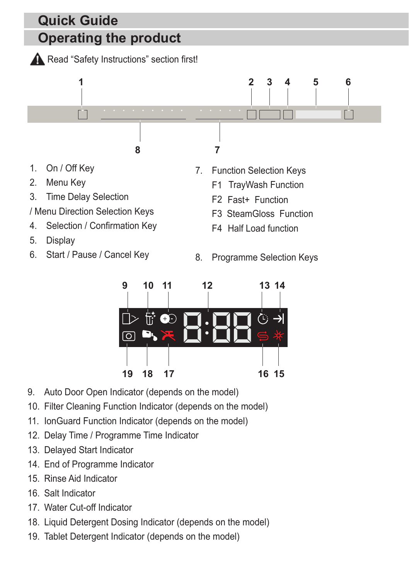

- 4. Selection / Confirmation Key
- 5. Display
- 6. Start / Pause / Cancel Key
- 8. Programme Selection Keys

F4 Half Load function



- 9. Auto Door Open Indicator (depends on the model)
- 10. Filter Cleaning Function Indicator (depends on the model)
- 11. IonGuard Function Indicator (depends on the model)
- 12. Delay Time / Programme Time Indicator
- 13. Delayed Start Indicator
- 14. End of Programme Indicator
- 15. Rinse Aid Indicator
- 16. Salt Indicator
- 17. Water Cut-off Indicator
- 18. Liquid Detergent Dosing Indicator (depends on the model)
- 19. Tablet Detergent Indicator (depends on the model)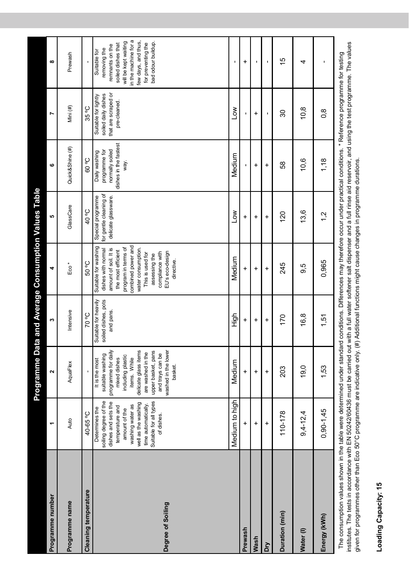|                                                                                                                                                                                   |                                                                                                                                                                                                              |                                                                                                                                                                                                                                         |                                                          | Programme Data and Average Consumption Values Table                                                                                                                                                                                                  |                                                                    |                                                                                    |                                                                                    |                                                                                                                                                                                          |
|-----------------------------------------------------------------------------------------------------------------------------------------------------------------------------------|--------------------------------------------------------------------------------------------------------------------------------------------------------------------------------------------------------------|-----------------------------------------------------------------------------------------------------------------------------------------------------------------------------------------------------------------------------------------|----------------------------------------------------------|------------------------------------------------------------------------------------------------------------------------------------------------------------------------------------------------------------------------------------------------------|--------------------------------------------------------------------|------------------------------------------------------------------------------------|------------------------------------------------------------------------------------|------------------------------------------------------------------------------------------------------------------------------------------------------------------------------------------|
| Programme number                                                                                                                                                                  | ۳                                                                                                                                                                                                            | $\mathbf{\tilde{z}}$                                                                                                                                                                                                                    | m                                                        | 4                                                                                                                                                                                                                                                    | ю                                                                  | ဖ                                                                                  | L                                                                                  | œ                                                                                                                                                                                        |
| Programme name                                                                                                                                                                    | Auto                                                                                                                                                                                                         | AquaFlex                                                                                                                                                                                                                                | Intensive                                                | Eco <sup>*</sup>                                                                                                                                                                                                                                     | GlassCare                                                          | Quick&Shine (#)                                                                    | Mini (#)                                                                           | Prewash                                                                                                                                                                                  |
| Cleaning temperature                                                                                                                                                              | 40-65 °C                                                                                                                                                                                                     |                                                                                                                                                                                                                                         | <b>Jo 07</b>                                             | 50 °C                                                                                                                                                                                                                                                | <b>J<sub>o</sub> 0+</b>                                            | <b>O. 09</b>                                                                       | 35 °C                                                                              |                                                                                                                                                                                          |
| Degree of Soiling                                                                                                                                                                 | soiling degree of the<br>Suitable for all types<br>dishes and sets the<br>well as the washing<br>washing water as<br>time automatically.<br>temperature and<br>Determines the<br>amount of the<br>of dishes. | delicate glass items<br>washed in the lower<br>upper basket, pans<br>programme for daily<br>are washed in the<br>and trays can be<br>suitable washing<br>including plastic<br>items. While<br>mixed dishes<br>It is the most<br>basket. | Suitable for heavily<br>soiled dishes, pots<br>and pans. | Suitable for washing<br>combined power and<br>dishes with normal<br>amount of soil. It is<br>program in tems of<br>water consumption.<br>the most efficient<br>EU's eco-design<br>compliance with<br>This is used for<br>assessing the<br>directive. | for gentle cleaning of<br>Special programme<br>delicate glassware. | dishes in the fastest<br>normally soiled<br>programme for<br>Daily washing<br>way. | that are scraped or<br>soiled daily dishes<br>Suitable for lightly<br>pre-cleaned. | in the machine for a<br>few days, and thus,<br>will be kept waiting<br>bad odour buildup.<br>for preventing the<br>soiled dishes that<br>remnants on the<br>removing the<br>Suitable for |
|                                                                                                                                                                                   | Medium to high                                                                                                                                                                                               | Medium                                                                                                                                                                                                                                  | High                                                     | Medium                                                                                                                                                                                                                                               | <b>No7</b>                                                         | Medium                                                                             | Low                                                                                | ı                                                                                                                                                                                        |
| Prewash                                                                                                                                                                           | $\ddot{}$                                                                                                                                                                                                    | $\ddot{}$                                                                                                                                                                                                                               | $\ddot{}$                                                | $\ddot{}$                                                                                                                                                                                                                                            | $\ddot{}$                                                          | ı                                                                                  | ı                                                                                  | $\ddot{}$                                                                                                                                                                                |
| Wash                                                                                                                                                                              | +                                                                                                                                                                                                            | $\ddot{}$                                                                                                                                                                                                                               | +                                                        | +                                                                                                                                                                                                                                                    | +                                                                  | ÷                                                                                  | +                                                                                  |                                                                                                                                                                                          |
| δ                                                                                                                                                                                 | $\ddot{}$                                                                                                                                                                                                    | $\ddot{}$                                                                                                                                                                                                                               | $\ddot{}$                                                | $\ddot{}$                                                                                                                                                                                                                                            | $\ddot{}$                                                          | $\ddot{}$                                                                          | ı                                                                                  | ı                                                                                                                                                                                        |
| Duration (min)                                                                                                                                                                    | 110-178                                                                                                                                                                                                      | 203                                                                                                                                                                                                                                     | 170                                                      | 245                                                                                                                                                                                                                                                  | 120                                                                | 58                                                                                 | 30                                                                                 | $\frac{6}{5}$                                                                                                                                                                            |
| Water(I)                                                                                                                                                                          | $9,4 - 12,4$                                                                                                                                                                                                 | 19,0                                                                                                                                                                                                                                    | 16,8                                                     | 9,5                                                                                                                                                                                                                                                  | 13,6                                                               | 10,6                                                                               | 10,8                                                                               | 4                                                                                                                                                                                        |
| Energy (kWh)                                                                                                                                                                      | $0,90 - 1,45$                                                                                                                                                                                                | 1,53                                                                                                                                                                                                                                    | 1,51                                                     | 0,965                                                                                                                                                                                                                                                | 1,2                                                                | 1,18                                                                               | 0,8                                                                                | ı                                                                                                                                                                                        |
| The consumption values shown in the table were determined under standard conditions. Differences may therefore occur under practical conditions, "Beference programme for testing |                                                                                                                                                                                                              |                                                                                                                                                                                                                                         |                                                          |                                                                                                                                                                                                                                                      |                                                                    |                                                                                    |                                                                                    |                                                                                                                                                                                          |

me consumpuon values snown in the dabe were determined under standard contuitions. Directives may trefer be proced under practical contuitions. Exercisive programme the values institutes. The tests in accordance with EN 50 institutes. The tests in accordance with EN 50242/60436 must be carried out with a full water softener salt dispenser and a full rinse aid reservoir, and using the test programme. The values The consumption values shown in the table were determined under standard conditions. Differences may therefore occur under practical conditions. \* Reference programme for testing given for programmes other than Eco 50°C programme are indicative only. (#) Additional functions might cause changes in programme durations. given for programmes other than Eco 50°C programme are indicative only. (#) Additional functions might cause changes in programme durations.

## Loading Capacity: 15 **Loading Capacity: 15**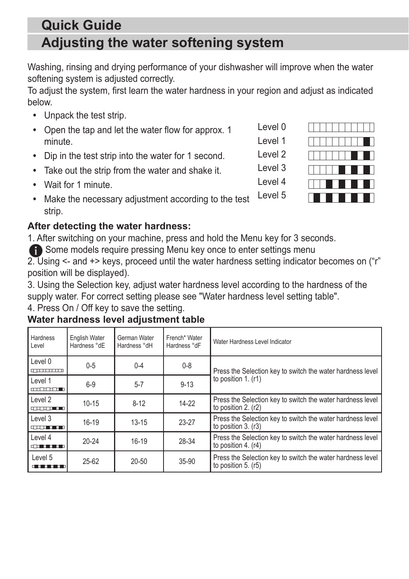## **Adjusting the water softening system Quick Guide**

Washing, rinsing and drying performance of your dishwasher will improve when the water softening system is adjusted correctly.

To adjust the system, first learn the water hardness in your region and adjust as indicated below.

- **•** Unpack the test strip.
- **•** Open the tap and let the water flow for approx. 1 minute.
- **•** Dip in the test strip into the water for 1 second.
- **•** Take out the strip from the water and shake it.
- **•** Wait for 1 minute.
- **•** Make the necessary adjustment according to the test strip. Level 5

## **After detecting the water hardness:**

1. After switching on your machine, press and hold the Menu key for 3 seconds.

**f** Some models require pressing Menu key once to enter settings menu

2. Using <- and +> keys, proceed until the water hardness setting indicator becomes on ("r" position will be displayed).

3. Using the Selection key, adjust water hardness level according to the hardness of the supply water. For correct setting please see "Water hardness level setting table".

4. Press On / Off key to save the setting.

## **Water hardness level adjustment table**

| Hardness<br>Level                                                                                                                                                                                                                         | English Water<br>Hardness °dE | German Water<br>Hardness °dH | French* Water<br>Hardness °dF | Water Hardness Level Indicator                                                      |  |  |  |
|-------------------------------------------------------------------------------------------------------------------------------------------------------------------------------------------------------------------------------------------|-------------------------------|------------------------------|-------------------------------|-------------------------------------------------------------------------------------|--|--|--|
| Level 0<br>mmmm                                                                                                                                                                                                                           | $0 - 5$                       | $0 - 4$                      | $0 - 8$                       | Press the Selection key to switch the water hardness level<br>to position $1. (r1)$ |  |  |  |
| Level 1<br>andro de la p                                                                                                                                                                                                                  | $6-9$                         | $5 - 7$                      | $9 - 13$                      |                                                                                     |  |  |  |
| Level 2<br>and the mon                                                                                                                                                                                                                    | $10 - 15$                     | $8-12$                       | $14 - 22$                     | Press the Selection key to switch the water hardness level<br>to position 2. (r2)   |  |  |  |
| Level 3<br>di sebagai sebagai sebagai sebagai sebagai sebagai sebagai sebagai sebagai sebagai sebagai sebagai sebagai sebagai sebagai sebagai sebagai sebagai sebagai sebagai sebagai sebagai sebagai sebagai sebagai sebagai sebagai seb | $16-19$                       | $13 - 15$                    | $23-27$                       | Press the Selection key to switch the water hardness level<br>to position 3. (r3)   |  |  |  |
| Level 4<br><b>CONTRACTOR</b>                                                                                                                                                                                                              | $20 - 24$                     | $16-19$                      | 28-34                         | Press the Selection key to switch the water hardness level<br>to position 4. $(r4)$ |  |  |  |
| Level 5<br><u>.</u>                                                                                                                                                                                                                       | $25 - 62$                     | $20 - 50$                    | 35-90                         | Press the Selection key to switch the water hardness level<br>to position 5. (r5)   |  |  |  |



Level 0 Level 1

Level 2

Level 3

Level 4